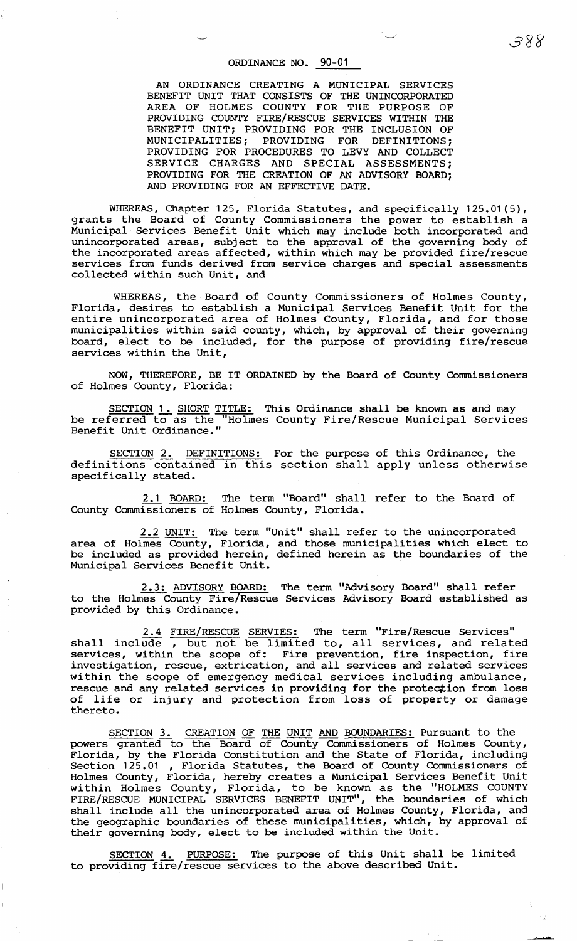## ORDINANCE NO. 90-01

AN ORDINANCE CREATING A MUNICIPAL SERVICES BENEFIT UNIT THAT CONSISTS OF THE UNINCORPORATED AREA OF HOLMES COUNTY FOR THE PURPOSE OF PROVIDING COUNTY FIRE/RESCUE SERVICES WITHIN THE BENEFIT UNIT; PROVIDING FOR THE INCLUSION OF MUNICIPALITIES; PROVIDING FOR DEFINITIONS; PROVIDING FOR DEFINITIONS; PROVIDING FOR PROCEDURES TO LEVY AND COLLECT SERVICE CHARGES AND SPECIAL ASSESSMENTS; PROVIDING FOR THE CREATION OF AN ADVISORY BOARD; AND PROVIDING FOR AN EFFECTIVE DATE.

WHEREAS, Chapter 125, Florida Statutes, and specifically 125.01(5), grants the Board of County Commissioners the power to establish a Municipal Services Benefit Unit which may include both incorporated and unincorporated areas, subject to the approval of the governing body of the incorporated areas affected, within which may be provided fire/rescue services from funds derived from service charges and special assessments collected within such Unit, and

WHEREAS, the Board of County Commissioners of Holmes County, Florida, desires to establish a Municipal Services Benefit Unit for the entire unincorporated area of Holmes County, Florida, and for those municipalities within said county, which, by approval of their governing board, elect to be included, for the purpose of providing fire/rescue services within the Unit,

NOW, THEREFORE, BE IT ORDAINED by the Board of County Commissioners of Holmes County, Florida:

SECTION 1. SHORT TITLE: This Ordinance shall be known as and may be referred to as the "Holmes County Fire/Rescue Municipal Services Benefit Unit Ordinance."

SECTION 2. DEFINITIONS: For the purpose of this Ordinance, the definitions contained in this section shall apply unless otherwise specifically stated.

2.1 BOARD: The term "Board" shall refer to the Board of County Commissioners of Holmes County, Florida.

2.2 UNIT: The term "Unit" shall refer to the unincorporated area of Holmes County, Florida, and those municipalities which elect to be included as provided herein, defined herein as the boundaries of the Municipal Services Benefit Unit.

2.3: ADVISORY BOARD: The term "Advisory Board" shall refer to the Holmes County Fire/Rescue Services Advisory Board established as provided by this Ordinance.

2.4 FIRE/RESCUE SERVIES: The term "Fire/Rescue Services" shall include , but not be limited to, all services, and related services, within the scope of: Fire prevention, fire inspection, fire investigation, rescue, extrication, and all services and related services within the scope of emergency medical services including ambulance, rescue and any related services in providing for the protection from loss of life or injury and protection from loss of property or damage of life or injury and protection from loss of property or damage thereto.

SECTION 3. CREATION OF THE UNIT AND BOUNDARIES: Pursuant to the powers granted to the Board of County Commissioners of Holmes County, Florida, by the Florida Constitution and the State of Florida, including Section 125.01 , Florida Statutes, the Board of County Commissioners of Holmes County, Florida, hereby creates a Municipal Services Benefit Unit within Holmes County, Florida, to be known as the "HOLMES COUNTY FIRE/RESCUE MUNICIPAL SERVICES BENEFIT UNIT" *1* the boundaries of which shall include all the unincorporated area of Holmes County, Florida, and the geographic boundaries of these municipalities, which, by approval of their governing body, elect to be included within the Unit.

SECTION 4. PURPOSE: The purpose of this Unit shall be limited to providing fire/rescue services to the above described Unit.

-~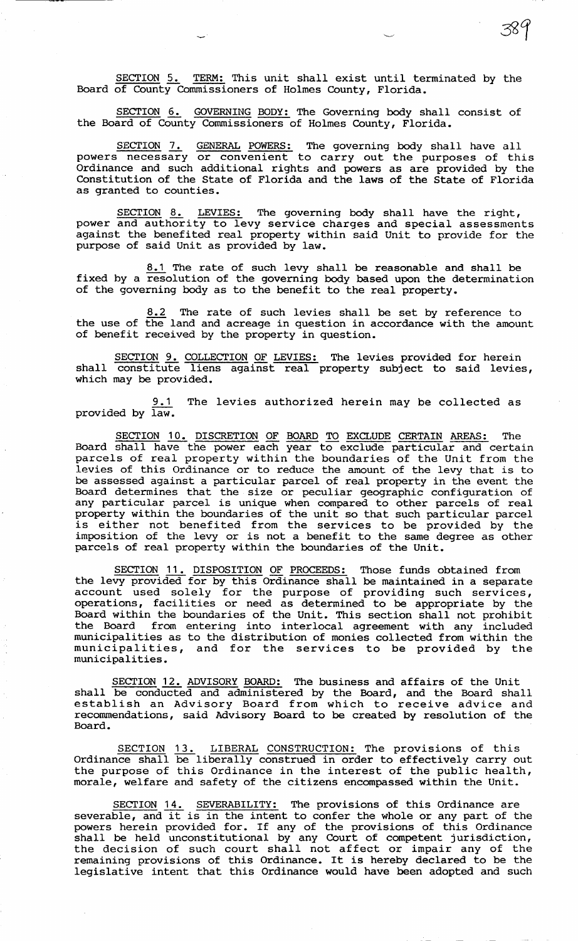SECTION 5. TERM: This unit shall exist until terminated by the Board of County Commissioners of Holmes County, Florida.

SECTION 6. GOVERNING BODY: The Governing body shall consist of the Board of County Commissioners of Holmes County, Florida.

SECTION 7. GENERAL POWERS: The governing body shall have all powers necessary or convenient to carry out the purposes of this Ordinance and such additional rights and powers as are provided by the Constitution of the State of Florida and the laws of the State of Florida as granted to counties.

SECTION 8. LEVIES: The governing body shall have the right, power and authority to levy service charges and special assessments against the benefited real property within said Unit to provide for the purpose of said Unit as provided by law.

8.1 The rate of such levy shall be reasonable and shall be fixed by a resolution of the governing body based upon the determination of the governing body as to the benefit to the real property.

8.2 The rate of such levies shall be set by reference to the use of the land and acreage in question in accordance with the amount of benefit received by the property in question.

SECTION 9. COLLECTION OF LEVIES: The levies provided for herein shall constitute liens against real property subject to said levies, which may be provided.

9.1 The levies authorized herein may be collected as provided by law.

SECTION 10. DISCRETION OF BOARD TO EXCLUDE CERTAIN AREAS: The Board shall have the power each year to exclude particular and certain parcels of real property within the boundaries of the Unit from the levies of this Ordinance or to reduce the amount of the levy that is to be assessed against a particular parcel of real property in the event the Board determines that the size or peculiar geographic configuration of any particular parcel is unique when compared to other parcels of real property within the boundaries of the unit so that such particular parcel property within the boundaries of the different so that such particular parcer<br>is either not benefited from the services to be provided by the imposition of the levy or is not a benefit to the same degree as other parcels of real property within the boundaries of the Unit.

SECTION 11. DISPOSITION OF PROCEEDS: Those funds obtained from the levy provided for by this Ordinance shall be maintained in a separate account used solely for the purpose of providing such services, operations, facilities or need as determined to be appropriate by the Board within the boundaries of the Unit. This section shall not prohibit the Board from entering into interlocal agreement with any included municipalities as to the distribution of monies collected from within the municipalities, and for the services to be provided by the municipalities.

SECTION 12. ADVISORY BOARD: The business and affairs of the Unit shall be conducted and administered by the Board, and the Board shall establish an Advisory Board from which to receive advice and recommendations, said Advisory Board to be created by resolution of the Board.

SECTION 13. LIBERAL CONSTRUCTION: The provisions of this Ordinance shall be liberally construed in order to effectively carry out the purpose of this Ordinance in the interest of the public health, morale, welfare and safety of the citizens encompassed within the Unit.

SECTION 14. SEVERABILITY: The provisions of this Ordinance are severable, and it is in the intent to confer the whole or any part of the powers herein provided for. If any of the provisions of this Ordinance shall be held unconstitutional by any Court of competent jurisdiction, the decision of such court shall not affect or impair any of the remaining provisions of this Ordinance. It is hereby declared to be the legislative intent that this Ordinance would have been adopted and such